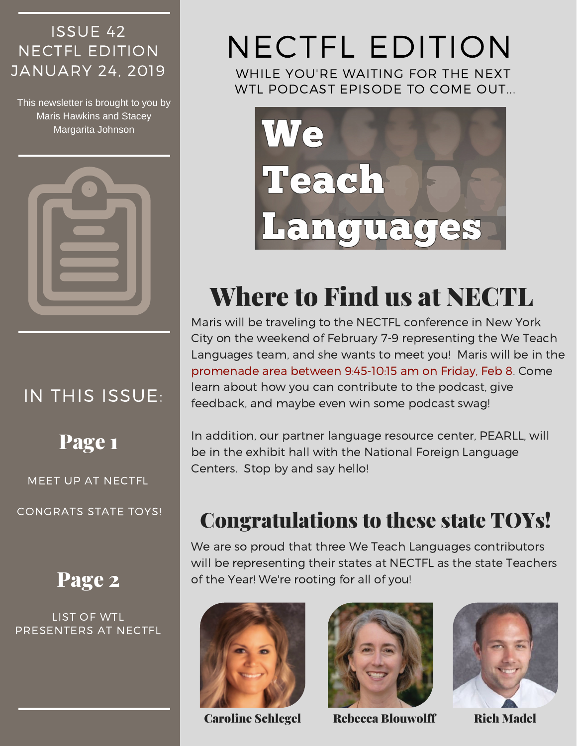### ISSUE 42 NECTFL EDITION JANUARY 24, 2019

This newsletter is brought to you by Maris Hawkins and Stacey Margarita Johnson



## IN THIS ISSUE:

Page 1

MEET UP AT NECTFL

CONGRATS STATE TOYS!

## Page 2

LIST OF WTL PRESENTERS AT NECTFL

# NECTFL EDITION

WHILE YOU'RE WAITING FOR THE NEXT WTL PODCAST EPISODE TO COME OUT...



## Where to Find us at NECTL

Maris will be traveling to the NECTFL conference in New York City on the weekend of February 7-9 representing the We Teach Languages team, and she wants to meet you! Maris will be in the promenade area between 9:45-10:15 am on Friday, Feb 8. Come learn about how you can contribute to the podcast, give feedback, and maybe even win some podcast swag!

In addition, our partner language resource center, PEARLL, will be in the exhibit hall with the National Foreign Language Centers. Stop by and say hello!

## Congratulations to these state TOYs!

We are so proud that three We Teach Languages contributors will be representing their states at NECTFL as the state Teachers of the Year! We're rooting for all of you!





Caroline Schlegel Rebecca Blouwolff Rich Madel